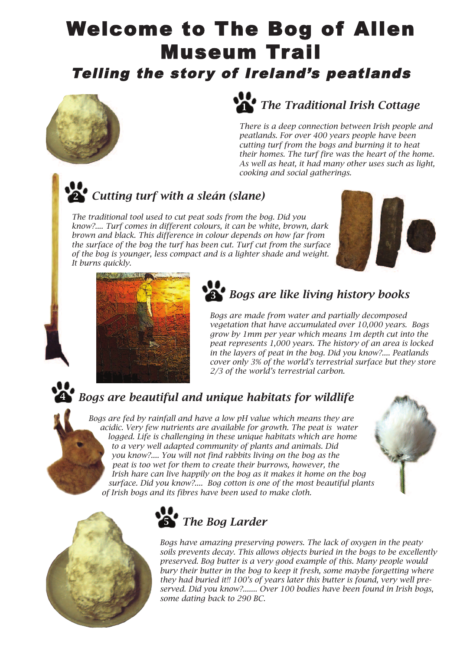## Welcome to The Bog of Allen Museum Trail

Telling the story of Ireland's peatlands



## *The Traditional Irish Cottage* **1**

*There is a deep connection between Irish people and peatlands. For over 400 years people have been cutting turf from the bogs and burning it to heat their homes. The turf fire was the heart of the home. As well as heat, it had many other uses such as light, cooking and social gatherings.*

## *Cutting turf with a sleán (slane)* **2**

*The traditional tool used to cut peat sods from the bog. Did you know?.... Turf comes in different colours, it can be white, brown, dark brown and black. This difference in colour depends on how far from the surface of the bog the turf has been cut. Turf cut from the surface of the bog is younger, less compact and is a lighter shade and weight. It burns quickly.*





## *Bogs are like living history books* **3**

*Bogs are made from water and partially decomposed vegetation that have accumulated over 10,000 years. Bogs grow by 1mm per year which means 1m depth cut into the peat represents 1,000 years. The history of an area is locked in the layers of peat in the bog. Did you know?.... Peatlands cover only 3% of the world's terrestrial surface but they store 2/3 of the world's terrestrial carbon.*

## *Bogs are beautiful and unique habitats for wildlife*

*Bogs are fed by rainfall and have a low pH value which means they are acidic. Very few nutrients are available for growth. The peat is water logged. Life is challenging in these unique habitats which are home to a very well adapted community of plants and animals. Did you know?.... You will not find rabbits living on the bog as the peat is too wet for them to create their burrows, however, the Irish hare can live happily on the bog as it makes it home on the bog surface. Did you know?.... Bog cotton is one of the most beautiful plants of Irish bogs and its fibres have been used to make cloth.*





**4**



*Bogs have amazing preserving powers. The lack of oxygen in the peaty soils prevents decay. This allows objects buried in the bogs to be excellently preserved. Bog butter is a very good example of this. Many people would bury their butter in the bog to keep it fresh, some maybe forgetting where they had buried it!! 100's of years later this butter is found, very well preserved. Did you know?....... Over 100 bodies have been found in Irish bogs, some dating back to 290 BC.*